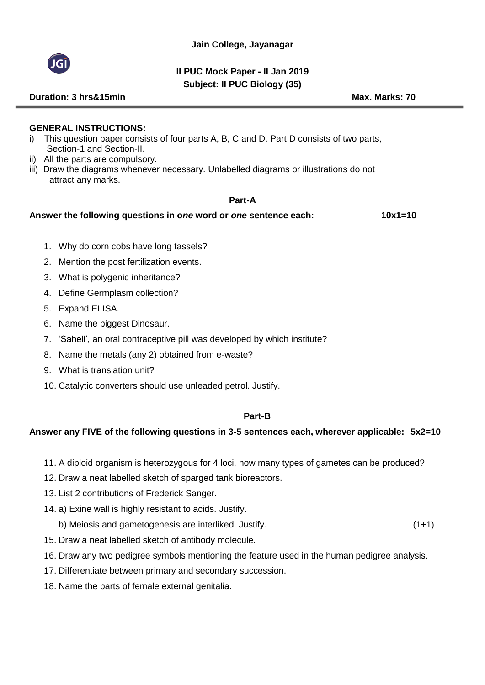

## **II PUC Mock Paper - II Jan 2019 Subject: II PUC Biology (35)**

#### **GENERAL INSTRUCTIONS:**

- i) This question paper consists of four parts A, B, C and D. Part D consists of two parts, Section-1 and Section-II.
- ii) All the parts are compulsory.
- iii) Draw the diagrams whenever necessary. Unlabelled diagrams or illustrations do not attract any marks.

#### **Part-A**

#### **Answer the following questions in o***ne* **word or** *one* **sentence each: 10x1=10**

- 1. Why do corn cobs have long tassels?
- 2. Mention the post fertilization events.
- 3. What is polygenic inheritance?
- 4. Define Germplasm collection?
- 5. Expand ELISA.
- 6. Name the biggest Dinosaur.
- 7. 'Saheli', an oral contraceptive pill was developed by which institute?
- 8. Name the metals (any 2) obtained from e-waste?
- 9. What is translation unit?
- 10. Catalytic converters should use unleaded petrol. Justify.

#### **Part-B**

## **Answer any FIVE of the following questions in 3-5 sentences each, wherever applicable: 5x2=10**

- 11. A diploid organism is heterozygous for 4 loci, how many types of gametes can be produced?
- 12. Draw a neat labelled sketch of sparged tank bioreactors.
- 13. List 2 contributions of Frederick Sanger.
- 14. a) Exine wall is highly resistant to acids. Justify.
	- b) Meiosis and gametogenesis are interliked. Justify. (1+1)
- 15. Draw a neat labelled sketch of antibody molecule.
- 16. Draw any two pedigree symbols mentioning the feature used in the human pedigree analysis.
- 17. Differentiate between primary and secondary succession.
- 18. Name the parts of female external genitalia.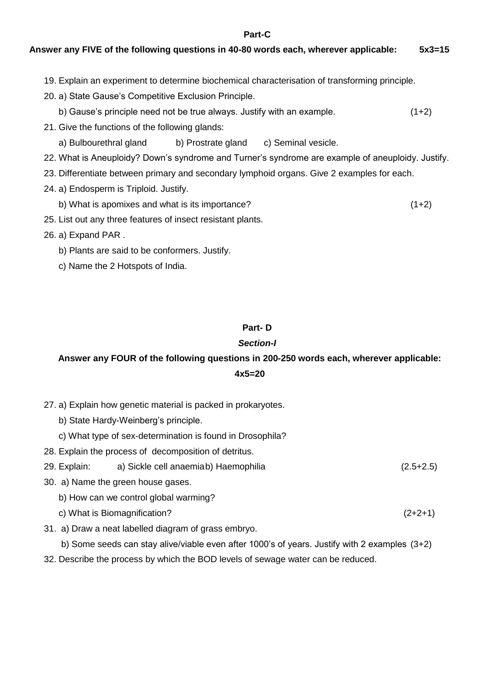**Part-C**

## **Answer any FIVE of the following questions in 40-80 words each, wherever applicable: 5x3=15**

19. Explain an experiment to determine biochemical characterisation of transforming principle.

20. a) State Gause's Competitive Exclusion Principle.

- b) Gause's principle need not be true always. Justify with an example. (1+2)
- 21. Give the functions of the following glands:
	- a) Bulbourethral gland b) Prostrate gland c) Seminal vesicle.
- 22. What is Aneuploidy? Down's syndrome and Turner's syndrome are example of aneuploidy. Justify.
- 23. Differentiate between primary and secondary lymphoid organs. Give 2 examples for each.
- 24. a) Endosperm is Triploid. Justify.
	- b) What is apomixes and what is its importance? (1+2)
- 25. List out any three features of insect resistant plants.
- 26. a) Expand PAR .
	- b) Plants are said to be conformers. Justify.
	- c) Name the 2 Hotspots of India.

#### **Part- D**

#### *Section-I*

## **Answer any FOUR of the following questions in 200-250 words each, wherever applicable: 4x5=20**

- 27. a) Explain how genetic material is packed in prokaryotes.
	- b) State Hardy-Weinberg's principle.
	- c) What type of sex-determination is found in Drosophila?
- 28. Explain the process of decomposition of detritus.
- 29. Explain: a) Sickle cell anaemiab) Haemophilia (2.5+2.5)
- 30. a) Name the green house gases.
	- b) How can we control global warming?
	- c) What is Biomagnification? (2+2+1)
- 31. a) Draw a neat labelled diagram of grass embryo.

b) Some seeds can stay alive/viable even after 1000's of years. Justify with 2 examples (3+2)

32. Describe the process by which the BOD levels of sewage water can be reduced.